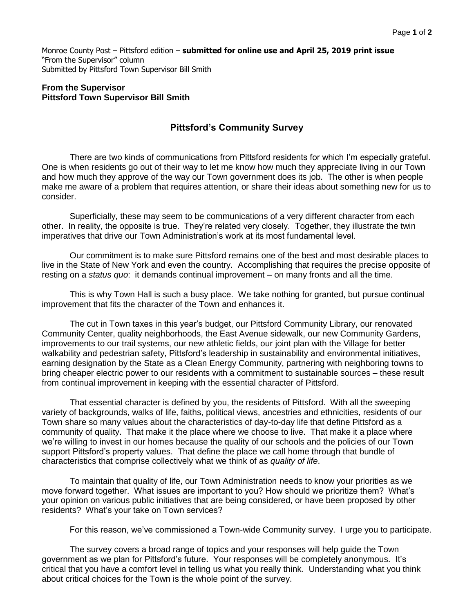Monroe County Post – Pittsford edition – **submitted for online use and April 25, 2019 print issue** "From the Supervisor" column Submitted by Pittsford Town Supervisor Bill Smith

## **From the Supervisor Pittsford Town Supervisor Bill Smith**

## **Pittsford's Community Survey**

There are two kinds of communications from Pittsford residents for which I'm especially grateful. One is when residents go out of their way to let me know how much they appreciate living in our Town and how much they approve of the way our Town government does its job. The other is when people make me aware of a problem that requires attention, or share their ideas about something new for us to consider.

Superficially, these may seem to be communications of a very different character from each other. In reality, the opposite is true. They're related very closely. Together, they illustrate the twin imperatives that drive our Town Administration's work at its most fundamental level.

Our commitment is to make sure Pittsford remains one of the best and most desirable places to live in the State of New York and even the country. Accomplishing that requires the precise opposite of resting on a *status quo*: it demands continual improvement – on many fronts and all the time.

This is why Town Hall is such a busy place. We take nothing for granted, but pursue continual improvement that fits the character of the Town and enhances it.

The cut in Town taxes in this year's budget, our Pittsford Community Library, our renovated Community Center, quality neighborhoods, the East Avenue sidewalk, our new Community Gardens, improvements to our trail systems, our new athletic fields, our joint plan with the Village for better walkability and pedestrian safety, Pittsford's leadership in sustainability and environmental initiatives, earning designation by the State as a Clean Energy Community, partnering with neighboring towns to bring cheaper electric power to our residents with a commitment to sustainable sources – these result from continual improvement in keeping with the essential character of Pittsford.

That essential character is defined by you, the residents of Pittsford. With all the sweeping variety of backgrounds, walks of life, faiths, political views, ancestries and ethnicities, residents of our Town share so many values about the characteristics of day-to-day life that define Pittsford as a community of quality. That make it the place where we choose to live. That make it a place where we're willing to invest in our homes because the quality of our schools and the policies of our Town support Pittsford's property values. That define the place we call home through that bundle of characteristics that comprise collectively what we think of as *quality of life*.

To maintain that quality of life, our Town Administration needs to know your priorities as we move forward together. What issues are important to you? How should we prioritize them? What's your opinion on various public initiatives that are being considered, or have been proposed by other residents? What's your take on Town services?

For this reason, we've commissioned a Town-wide Community survey. I urge you to participate.

The survey covers a broad range of topics and your responses will help guide the Town government as we plan for Pittsford's future. Your responses will be completely anonymous. It's critical that you have a comfort level in telling us what you really think. Understanding what you think about critical choices for the Town is the whole point of the survey.